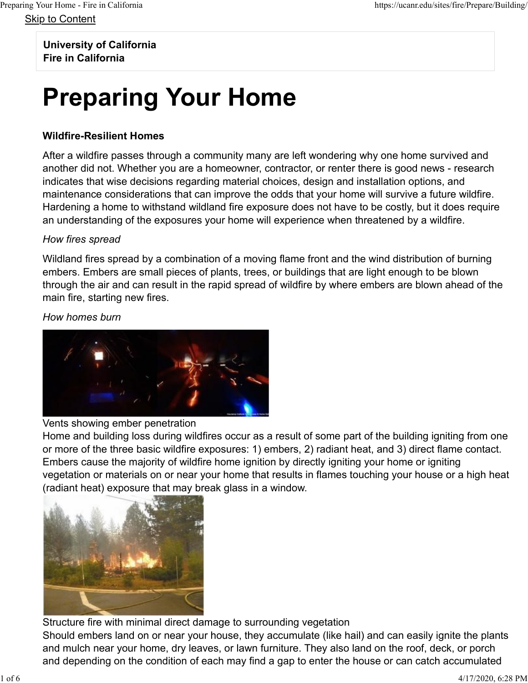Skip to Content

University of California

Fire in California

# Preparing Your Home

### Wildfire-Resilient Homes

After a wildfire passes through a community many are left wondering why one home survived and another did not. Whether you are a homeowner, contractor, or renter there is good news - research indicates that wise decisions regarding material choices, design and installation options, and maintenance considerations that can improve the odds that your home will survive a future wildfire. Hardening a home to withstand wildland fire exposure does not have to be costly, but it does require an understanding of the exposures your home will experience when threatened by a wildfire.

### How fires spread

Wildland fires spread by a combination of a moving flame front and the wind distribution of burning embers. Embers are small pieces of plants, trees, or buildings that are light enough to be blown through the air and can result in the rapid spread of wildfire by where embers are blown ahead of the main fire, starting new fires.

How homes burn



### Vents showing ember penetration

Home and building loss during wildfires occur as a result of some part of the building igniting from one or more of the three basic wildfire exposures: 1) embers, 2) radiant heat, and 3) direct flame contact. Embers cause the majority of wildfire home ignition by directly igniting your home or igniting vegetation or materials on or near your home that results in flames touching your house or a high heat (radiant heat) exposure that may break glass in a window.



Structure fire with minimal direct damage to surrounding vegetation Should embers land on or near your house, they accumulate (like hail) and can easily ignite the plants and mulch near your home, dry leaves, or lawn furniture. They also land on the roof, deck, or porch and depending on the condition of each may find a gap to enter the house or can catch accumulated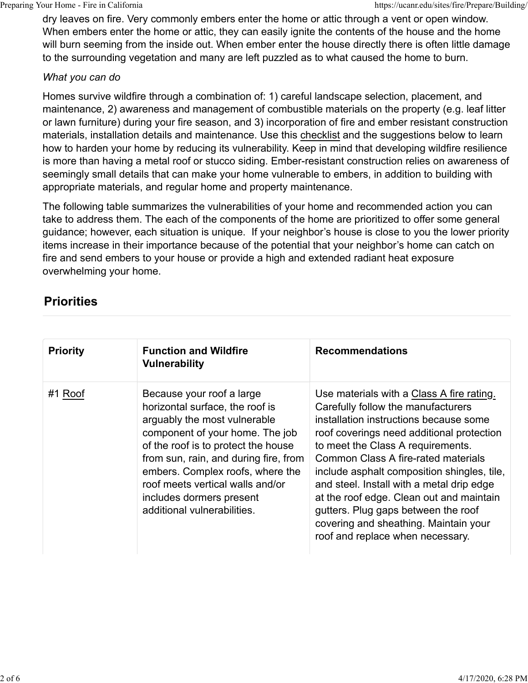dry leaves on fire. Very commonly embers enter the home or attic through a vent or open window. When embers enter the home or attic, they can easily ignite the contents of the house and the home will burn seeming from the inside out. When ember enter the house directly there is often little damage to the surrounding vegetation and many are left puzzled as to what caused the home to burn.

#### What you can do

Homes survive wildfire through a combination of: 1) careful landscape selection, placement, and maintenance, 2) awareness and management of combustible materials on the property (e.g. leaf litter or lawn furniture) during your fire season, and 3) incorporation of fire and ember resistant construction materials, installation details and maintenance. Use this checklist and the suggestions below to learn how to harden your home by reducing its vulnerability. Keep in mind that developing wildfire resilience is more than having a metal roof or stucco siding. Ember-resistant construction relies on awareness of seemingly small details that can make your home vulnerable to embers, in addition to building with appropriate materials, and regular home and property maintenance.

The following table summarizes the vulnerabilities of your home and recommended action you can take to address them. The each of the components of the home are prioritized to offer some general guidance; however, each situation is unique. If your neighbor's house is close to you the lower priority items increase in their importance because of the potential that your neighbor's home can catch on fire and send embers to your house or provide a high and extended radiant heat exposure overwhelming your home. materials, installation details and maintenance. Use this <u>checklist</u> and the suggestion and the suggestion of the summate in more than having a metal roof studience in more than the summate in the more than the more than

## **Priorities**

| seemingly small details that can make your home vulnerable to embers, in addition to building with<br>appropriate materials, and regular home and property maintenance.                                                                                                                                                                                                                                                                                                                                                                                           |                                                                                                                                                                                                                                                                                                                                                                                                                                                                                                                       |  |  |  |
|-------------------------------------------------------------------------------------------------------------------------------------------------------------------------------------------------------------------------------------------------------------------------------------------------------------------------------------------------------------------------------------------------------------------------------------------------------------------------------------------------------------------------------------------------------------------|-----------------------------------------------------------------------------------------------------------------------------------------------------------------------------------------------------------------------------------------------------------------------------------------------------------------------------------------------------------------------------------------------------------------------------------------------------------------------------------------------------------------------|--|--|--|
| The following table summarizes the vulnerabilities of your home and recommended action you can<br>take to address them. The each of the components of the home are prioritized to offer some general<br>guidance; however, each situation is unique. If your neighbor's house is close to you the lower priority<br>items increase in their importance because of the potential that your neighbor's home can catch on<br>fire and send embers to your house or provide a high and extended radiant heat exposure<br>overwhelming your home.<br><b>Priorities</b> |                                                                                                                                                                                                                                                                                                                                                                                                                                                                                                                       |  |  |  |
|                                                                                                                                                                                                                                                                                                                                                                                                                                                                                                                                                                   |                                                                                                                                                                                                                                                                                                                                                                                                                                                                                                                       |  |  |  |
| Because your roof a large<br>horizontal surface, the roof is<br>arguably the most vulnerable<br>component of your home. The job<br>of the roof is to protect the house<br>from sun, rain, and during fire, from<br>embers. Complex roofs, where the<br>roof meets vertical walls and/or<br>includes dormers present<br>additional vulnerabilities.                                                                                                                                                                                                                | Use materials with a Class A fire rating.<br>Carefully follow the manufacturers<br>installation instructions because some<br>roof coverings need additional protection<br>to meet the Class A requirements.<br><b>Common Class A fire-rated materials</b><br>include asphalt composition shingles, tile,<br>and steel. Install with a metal drip edge<br>at the roof edge. Clean out and maintain<br>gutters. Plug gaps between the roof<br>covering and sheathing. Maintain your<br>roof and replace when necessary. |  |  |  |
|                                                                                                                                                                                                                                                                                                                                                                                                                                                                                                                                                                   |                                                                                                                                                                                                                                                                                                                                                                                                                                                                                                                       |  |  |  |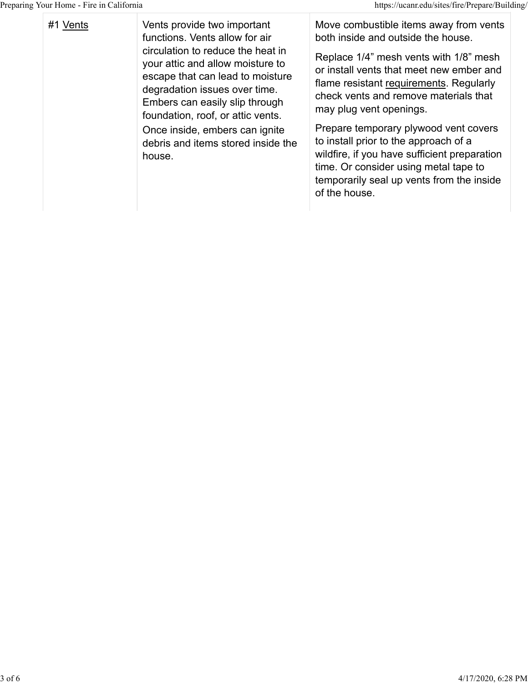The Prince of the Section of the Section of the Section of the Section of the Section of the Section of the Section of the Section of the Section of the Section of the Secape that can lead to moisture functions. Vents allow for air circulation to reduce the heat in your attic and allow moisture to escape that can lead to moisture degradation issues over time. Embers can easily slip through foundation, roof, or attic vents. Once inside, embers can ignite debris and items stored inside the house.

Move combustible items away from vents both inside and outside the house.

Replace 1/4" mesh vents with 1/8" mesh or install vents that meet new ember and flame resistant requirements. Regularly check vents and remove materials that may plug vent openings.

Prepare temporary plywood vent covers to install prior to the approach of a wildfire, if you have sufficient preparation time. Or consider using metal tape to temporarily seal up vents from the inside of the house.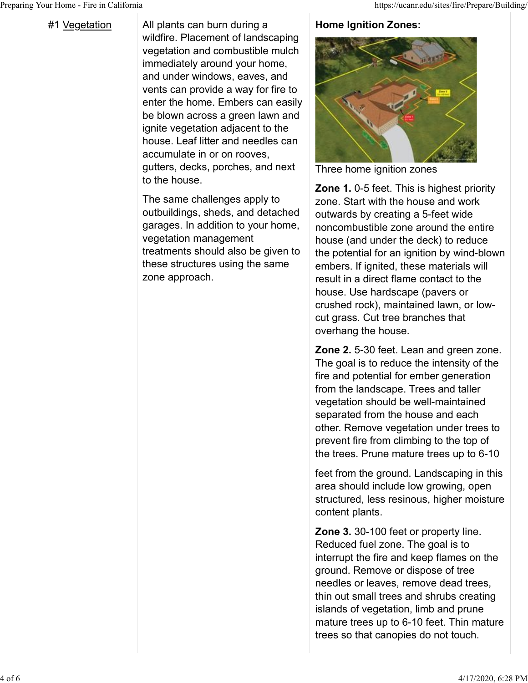The Prince of Home Prince in California<br>
#1 <u>Vegetation</u><br>
All plants can burn during a<br>
wildfire. Placement of landscaping<br>
vegetation and combustible mulch<br>
immediately around your home,<br>
and under windows, eaves, and wildfire. Placement of landscaping vegetation and combustible mulch immediately around your home, and under windows, eaves, and vents can provide a way for fire to enter the home. Embers can easily be blown across a green lawn and ignite vegetation adjacent to the house. Leaf litter and needles can accumulate in or on rooves, gutters, decks, porches, and next to the house.

> The same challenges apply to outbuildings, sheds, and detached garages. In addition to your home, vegetation management treatments should also be given to these structures using the same zone approach.

#### Home Ignition Zones:



Three home ignition zones

Zone 1. 0-5 feet. This is highest priority zone. Start with the house and work outwards by creating a 5-feet wide noncombustible zone around the entire house (and under the deck) to reduce the potential for an ignition by wind-blown embers. If ignited, these materials will result in a direct flame contact to the house. Use hardscape (pavers or crushed rock), maintained lawn, or lowcut grass. Cut tree branches that overhang the house.

Zone 2. 5-30 feet. Lean and green zone. The goal is to reduce the intensity of the fire and potential for ember generation from the landscape. Trees and taller vegetation should be well-maintained separated from the house and each other. Remove vegetation under trees to prevent fire from climbing to the top of the trees. Prune mature trees up to 6-10

feet from the ground. Landscaping in this area should include low growing, open structured, less resinous, higher moisture content plants.

Zone 3. 30-100 feet or property line. Reduced fuel zone. The goal is to interrupt the fire and keep flames on the ground. Remove or dispose of tree needles or leaves, remove dead trees, thin out small trees and shrubs creating islands of vegetation, limb and prune mature trees up to 6-10 feet. Thin mature trees so that canopies do not touch.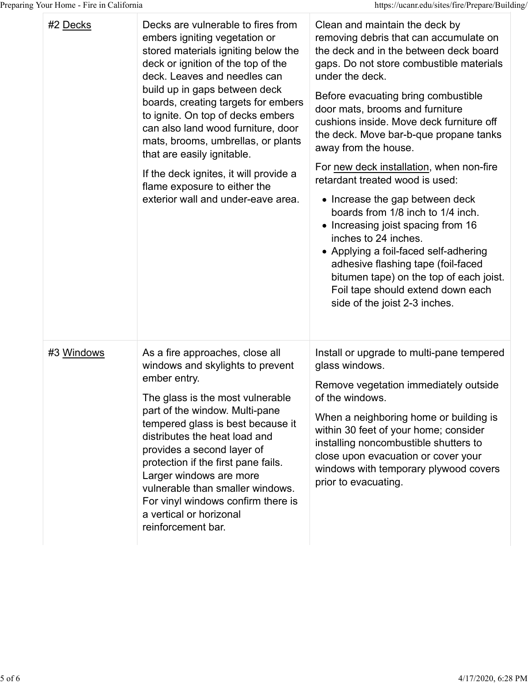| g Your Home - Fire in California |                                                                                                                                                                                                                                                                                                                                                                                                                                                                                                                         | https://ucanr.edu/sites/fire/Prepare/Building/                                                                                                                                                                                                                                                                                                                                                                                                                                                                                                                                                                                                                                                                                                                                                 |
|----------------------------------|-------------------------------------------------------------------------------------------------------------------------------------------------------------------------------------------------------------------------------------------------------------------------------------------------------------------------------------------------------------------------------------------------------------------------------------------------------------------------------------------------------------------------|------------------------------------------------------------------------------------------------------------------------------------------------------------------------------------------------------------------------------------------------------------------------------------------------------------------------------------------------------------------------------------------------------------------------------------------------------------------------------------------------------------------------------------------------------------------------------------------------------------------------------------------------------------------------------------------------------------------------------------------------------------------------------------------------|
| #2 Decks                         | Decks are vulnerable to fires from<br>embers igniting vegetation or<br>stored materials igniting below the<br>deck or ignition of the top of the<br>deck. Leaves and needles can<br>build up in gaps between deck<br>boards, creating targets for embers<br>to ignite. On top of decks embers<br>can also land wood furniture, door<br>mats, brooms, umbrellas, or plants<br>that are easily ignitable.<br>If the deck ignites, it will provide a<br>flame exposure to either the<br>exterior wall and under-eave area. | Clean and maintain the deck by<br>removing debris that can accumulate on<br>the deck and in the between deck board<br>gaps. Do not store combustible materials<br>under the deck.<br>Before evacuating bring combustible<br>door mats, brooms and furniture<br>cushions inside. Move deck furniture off<br>the deck. Move bar-b-que propane tanks<br>away from the house.<br>For new deck installation, when non-fire<br>retardant treated wood is used:<br>• Increase the gap between deck<br>boards from 1/8 inch to 1/4 inch.<br>• Increasing joist spacing from 16<br>inches to 24 inches.<br>• Applying a foil-faced self-adhering<br>adhesive flashing tape (foil-faced<br>bitumen tape) on the top of each joist.<br>Foil tape should extend down each<br>side of the joist 2-3 inches. |
| #3 Windows                       | As a fire approaches, close all<br>windows and skylights to prevent<br>ember entry.<br>The glass is the most vulnerable<br>part of the window. Multi-pane<br>tempered glass is best because it<br>distributes the heat load and<br>provides a second layer of<br>protection if the first pane fails.<br>Larger windows are more<br>vulnerable than smaller windows.<br>For vinyl windows confirm there is<br>a vertical or horizonal<br>reinforcement bar.                                                              | Install or upgrade to multi-pane tempered<br>glass windows.<br>Remove vegetation immediately outside<br>of the windows.<br>When a neighboring home or building is<br>within 30 feet of your home; consider<br>installing noncombustible shutters to<br>close upon evacuation or cover your<br>windows with temporary plywood covers<br>prior to evacuating.                                                                                                                                                                                                                                                                                                                                                                                                                                    |